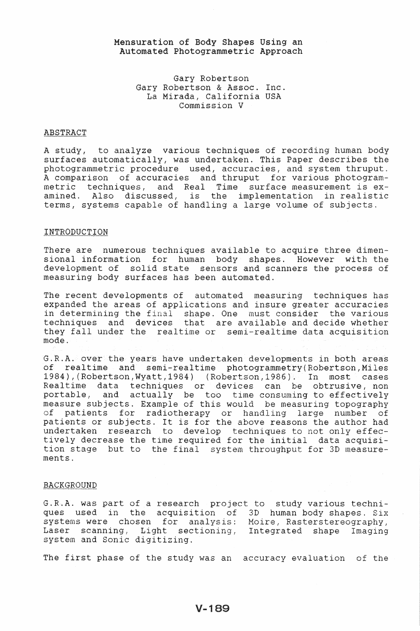# Mensuration of Body Shapes Using an Automated Photogrammetric Approach

Gary Robertson Gary Robertson & Assoc. Inc. La Mirada, California USA Commission V

### ABSTRACT

A study, to analyze various techniques surfaces automatically, was undertaken. This Paper describes the photogrammetric proc A comparison of accurac: metric techniques, and Real Time surface measurement is examined. Also discussed, is the implementation in realist<br>terms, systems capable of handling a large volume of subjects. , accurac: thruput amined. Also discussed, is the implementation in realistic

## **INTRODUCTION**

There are numerous techniques available to acquire three dimensional information for human body shapes. However with the development of solid state sensors and scanners the process of measuring body surfaces has been automated.

The recent developments of automated measuring techniques has expanded the areas of applications and insure greater accuracies in determining the final shape. One must consider the various techniques and devices that are available and decide whether they fall under the realtime or semi-realtime data acquisition mode.

G.R.A. over the years have undertaken developments in both areas of realtime and semi-realtime photogrammetry{Robertson,Miles 1984), (Robertson,Wyatt,1984) (Robertson,1986). In most cases Realtime data techniques or devices can be obtrusive, non portable, and actually be too time consuming to effectively measure subjects. Example of this would be measuring topography<br>of patients for radiotherapy or handling large number of of patients for radiotherapy or handling patients or subjects. It is for the above reasons the author had undertaken research to develop techniques to not only effectively decrease the time required for the initial data acquisition stage but to the final system throughput for 3D measurements.

## BACKGROUND

G.R.A. was part of a research project to study various techniques used in the acquisition of 3D human body shapes. Six systems were chosen for analysis: Moire, Rasterstereography, Laser scanning, Light sectioning, Integrated shape Imaging system and Sonic digitizing.

The first phase of the study was an accuracy evaluation of the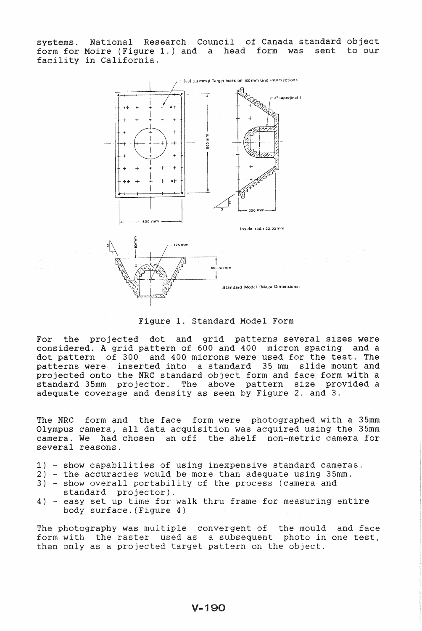systems. National Research Council of Canada standard object<br>form for Moire (Figure 1.) and a head form was sent to our form for Moire (Figure 1.) and a head form was sent facility in California.



Figure 1. Standard Model Form

For the projected dot and grid patterns several sizes were considered. A grid pattern of 600 and 400 micron spacing and a dot pattern of 300 and 400 microns were used for the test. The patterns were inserted into a standard 35 mm slide mount and projected onto the NRC standard object form and face form with a standard 35mm projector. The above pattern size provided a adequate coverage and density as seen by Figure 2. and 3.

The NRC form and the face form were photographed with a 35mm Olympus camera, all data acquisition was acquired using the 35mm camera. We had chosen an off the shelf non-metric camera for several reasons.

- 1) show capabilities of using inexpensive standard cameras.
- 2) the accuracies would be more than adequate using 35mm.
- 3) show overall portability of the process (camera and standard projector).
- 4) easy set up time for walk thru frame for measuring entire body surface. (Figure 4)

The photography was multiple convergent of the mould and face form with the raster used as a subsequent photo in one test, then only as a projected target pattern on the object.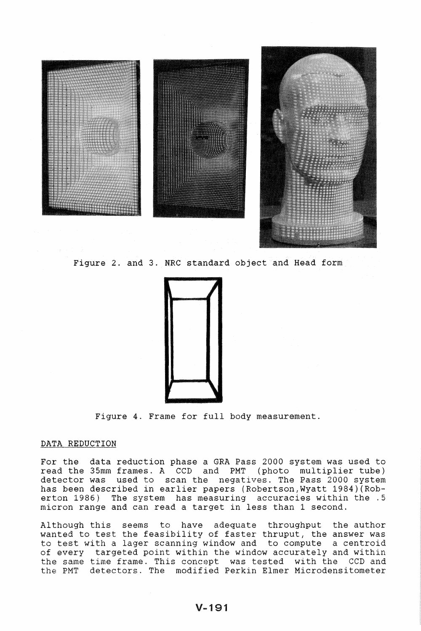

Figure 2. and 3. NRC standard object and Head form



Figure 4. Frame for full body measurement.

## DATA REDUCTION

For the data reduction phase a GRA Pass 2000 system was used to read the 35mm frames. A CCD and PMT (photo multiplier tube)<br>detector was used to scan the negatives. The Pass 2000 system detector was used to scan the has been described in earlier papers (Robertson,Wyatt 1984)(Roberton 1986) The system has measuring accuracies within the .5 micron range and can read a target in less than 1 second.

Although this seems to have adequate throughput the author wanted to test the feasibility of faster thruput, the answer was to test with a lager scanning window and to compute a centroid of every targeted point within the window accurately and within the same time frame. This concept was tested with the CCD and the PMT detectors. The modified Perkin Elmer Microdensitometer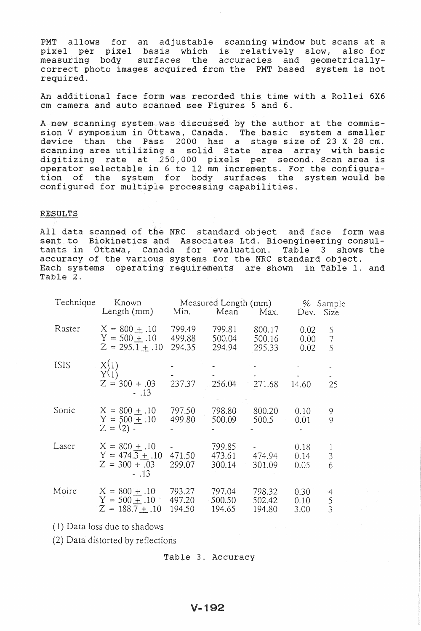PMT allows for an adjustable scanning window but scans at a arrows for an aajascasic sounning window sac sound act a<br>1 per pixel basis which is relatively slow, also for pixel per pixel basis which is relatively slow, also for<br>measuring body surfaces the accuracies and geometricallycorrect photo images acquired from the PMT based system is not required.

An additional face form was recorded this time with a Rollei 6X6 cm camera and auto scanned see Figures 5 and 6.

A new scanning system was discussed by the author at the commission V symposium in Ottawa, Canada. The basic system a smaller device than the Pass 2000 has a stage size of 23 X 28 cm. scanning area utilizing a solid State area array with basic per second. Scan area is increments. For the configuration of the system for body surfaces the system would be configured for multiple processing capabilities.

# RESULTS

All data scanned of the NRC standard object and face form was sent to Biokinetics and Associates Ltd. Bioengineering consultants in Ottawa, Canada for evaluation. Table 3 shows the accuracy of the various systems for the NRC standard object. Each systems operating requirements are shown in Table 1. and Table 2.

| Technique<br>Known<br>Length $(mm)$ |                                                                   | Min.                       | Measured Length (mm)<br>Mean Max. |                            | % Sample<br>Dev. Size             |                          |
|-------------------------------------|-------------------------------------------------------------------|----------------------------|-----------------------------------|----------------------------|-----------------------------------|--------------------------|
| Raster                              | $X = 800 \pm .10$<br>$Y = 500 \pm .10$<br>$Z = 295.1 + .10$       | 799.49<br>499.88<br>294.35 | 799.81<br>500.04<br>294.94        | 800.17<br>500.16<br>295.33 | 0.02<br>0.00 <sub>1</sub><br>0.02 | 5<br>$\overline{7}$<br>5 |
| <b>ISIS</b>                         | $X_{Y(1)}^{(1)}$<br>$Z = 300 + .03$<br>$-.13$                     | 237.37                     | 256.04                            | 271.68                     | 14.60                             | 25                       |
| Sonic                               | $X = 800 + .10$<br>$Y = 500 + .10$<br>$Z = (2) -$                 | 797.50<br>499.80           | 798.80<br>500.09                  | 800.20<br>500.5            | 0.10<br>0.01                      | 9<br>9                   |
| Laser                               | $X = 800 + .10$<br>$Y = 474.3 + .10$<br>$Z = 300 + .03$<br>$-.13$ | 471.50<br>299.07           | 799.85<br>473.61<br>300.14        | 474.94<br>301.09           | 0.18<br>0.14<br>0.05              | $\frac{1}{3}$<br>6       |
| Moire                               | $X = 800 + .10$<br>$Y = 500 + .10$<br>$Z = 188.7 \pm .10$         | 793.27<br>497.20<br>194.50 | 797.04<br>500.50<br>194.65        | 798.32<br>502.42<br>194.80 | 0.30<br>0.10<br>3.00              | 4<br>$\frac{5}{3}$       |

(1) Data loss due to shadows

(2) Data distorted by reflections

# $V - 192$

Table 3. Accuracy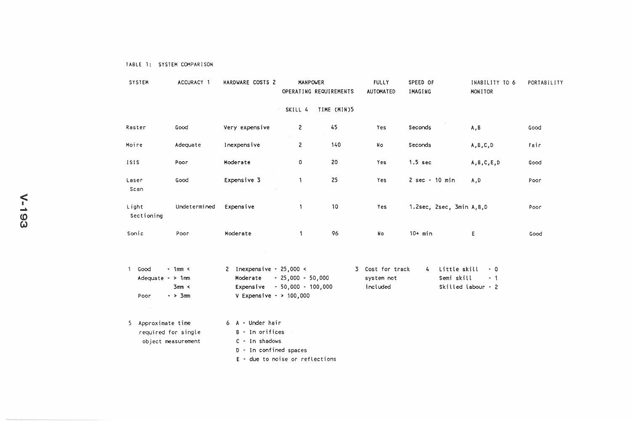| <b>SYSTEM</b>                | ACCURACY 1   | HARDWARE COSTS 2                       | <b>MANPOWER</b>                                                                 | OPERATING REQUIREMENTS | <b>FULLY</b><br><b>AUTOMATED</b> | SPEED OF<br>IMAGING             | INABILITY TO 6<br>MONITOR | PORTABILITY |
|------------------------------|--------------|----------------------------------------|---------------------------------------------------------------------------------|------------------------|----------------------------------|---------------------------------|---------------------------|-------------|
|                              |              |                                        | SKILL 4                                                                         | TIME (MIN)5            |                                  |                                 |                           |             |
| Raster                       | Good         | Very expensive                         | $\sim$ $-2$                                                                     | 45                     | Yes                              | Seconds                         | A, B                      | Good        |
| Moire                        | Adequate     | Inexpensive<br><b>Service State</b>    | 2                                                                               | 140                    | No                               | Seconds                         | A, B, C, D                | Fair        |
| 1515                         | Poor         | Moderate                               | 0                                                                               | 20                     | Yes                              | $1.5$ sec                       | A, B, C, E, D             | Good        |
| Laser<br>Scan                | Good         | Expensive 3                            | $\mathcal{A}^{\Lambda}$ and $\mathcal{A}^{\Lambda}$ and $\mathcal{A}^{\Lambda}$ | 25                     | Yes                              | $2 sec - 10 min$                | A,D                       | Poor        |
| Light<br>Sectioning          | Undetermined | Expensive                              | $\mathbf{1}$<br>$\sim$                                                          | 10                     | <b>Yes</b>                       | 1.2sec, 2sec, 3min A, B, D      |                           | Poor        |
| Sonic                        | Poor         | Moderate                               | 1                                                                               | 96                     | Nо                               | $10+ min$                       | Ε                         | Good        |
|                              |              |                                        |                                                                                 |                        |                                  |                                 |                           |             |
| Good<br>Adequate $\sim$ 1 mm | $-1$ mm <    | 2 Inexpensive - $25,000 <$<br>Moderate | - 25 000 - 50 000                                                               |                        | 3 Cost for track<br>system not   | Little skill<br>4<br>Semi skill | $-0$<br>$-1$              |             |

| Adequate $\sim$ 1 mm      | Moderate - 25,000 - 50,000    | system not | Semi skill<br>$-1$       |
|---------------------------|-------------------------------|------------|--------------------------|
| $3$ mm <                  | Expensive $-50.000 - 100.000$ | included   | Skilled labour $\cdot$ 2 |
| 3mm<br>Poor<br>$\sim$ $>$ | V Expensive $\cdot$ > 100.000 |            |                          |

| 5 Approximate time  |  | 6 A - Under hair |
|---------------------|--|------------------|
| required for single |  | B - In orifices  |
| object measurement  |  | $C - In$ shadows |

- D In confined spaces
- E . due to noise or reflections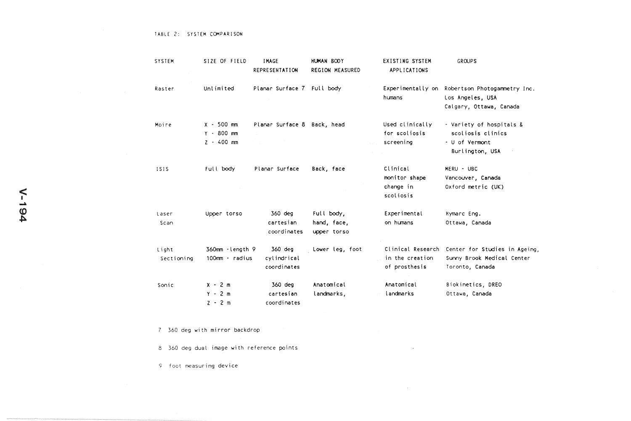| <b>SYSTEM</b>       | SIZE OF FIELD                                | <b>IMAGE</b><br>REPRESENTATION        | <b>HUMAN BOOY</b><br>REGION MEASURED     | <b>EXISTING SYSTEM</b><br>APPLICATIONS                | <b>GROUPS</b>                                                                                 |
|---------------------|----------------------------------------------|---------------------------------------|------------------------------------------|-------------------------------------------------------|-----------------------------------------------------------------------------------------------|
| Raster              | Unlimited                                    | Planar Surface 7 Full body            |                                          | humans                                                | Experimentally on Robertson Photogammetry Inc.<br>Los Angeles, USA<br>Calgary, Ottawa, Canada |
| Moire               | $X - 500$ mm<br>$Y - 800$ mm<br>$2 - 400$ mm | Planar Surface 8 Back, head           |                                          | Used clinically<br>for scoliosis<br>screening         | - Variety of hospitals &<br>scoliosis clinics<br>- U of Vermont<br>Burlington, USA            |
| <b>ISIS</b>         | Full body                                    | Planar Surface                        | Back, face                               | Clinical<br>monitor shape<br>change in<br>scoliosis   | MERU - UBC<br>Vancouver, Canada<br>Oxford metric (UK)                                         |
| Laser<br>Scan       | Upper tonso                                  | 360 deg<br>cartesian<br>coordinates   | Full body,<br>hand, face,<br>upper torso | Experimental<br>on humans                             | Hymarc Eng.<br>Ottawa, Canada                                                                 |
| Light<br>Sectioning | 360mm - length 9<br>$100$ mm - radius        | 360 deg<br>cylindrical<br>coordinates | Lower leg, foot                          | Clinical Research<br>in the creation<br>of prosthesis | Center for Studies in Ageing,<br>Sunny Brook Medical Center<br>Toronto, Canada                |
| Sonic               | $X - 2m$<br>$Y - 2m$<br>$2 - 2$ m            | 360 deg<br>cartesian<br>coordinates   | Anatomical<br>landmarks,                 | Anatomical<br>landmarks                               | Biokinetics, DREO<br>Ottawa, Canada                                                           |

 $\sim$ 

 $\sim$ 

7 360 deg with mirror backdrop

8 360 deg dual image with reference points

9 foot measuring device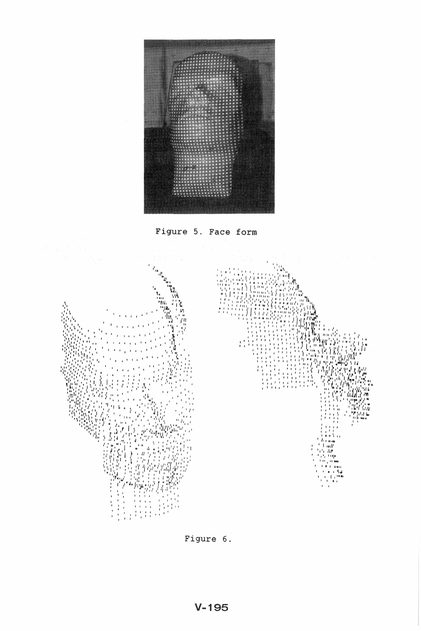





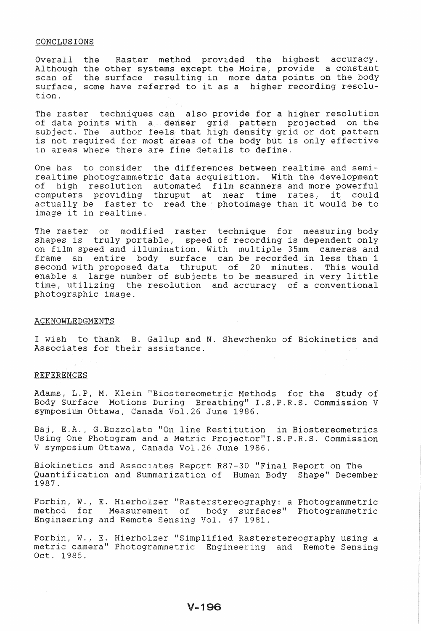## CONCLUSIONS

Overall the Raster method provided the highest accuracy. Although the other systems except the Moire, provide a constant scan of the surface resulting in more data points on the body surface, some have referred to it as a higher recording resolution.

The raster techniques can also provide for a higher resolution points with a denser grid pattern projected on the subject. The author feels that high density grid or dot is not required for most areas of the body but is only effective in areas where there are fine details to define.

One has to consider the differences between realtime and semirealtime photogrammetric data acquisition. With the development resolution automated film scanners and more powerful computers providing thruput at near time rates, it could actually be faster to read the photoimage than it would be to image it in realtime.

The raster or modified raster technique for measuring body is truly portable, speed of recording is dependent only on film speed and illumination. With multiple 35mm cameras and frame an entire body surface can be recorded in less than 1 an entire body surface can be recorded in less than 1 second with proposed data thruput of 20 minutes. This would enable a large number of subjects to be measured in very little time, utilizing the resolution and accuracy of a conventional photographic image.

# **ACKNOWLEDGMENTS**

I wish to thank B. Gallup and N. Shewchenko of Biokinetics and Associates for their assistance.

## REFERENCES

Adams, L.P, M. Klein "Biostereometric Methods for the Study of Body Surface Motions During Breathing" I.S.P.R.S. Commission V symposium Ottawa, Canada Vol.26 June 1986.

Baj, E.A., G.Bozzolato "On line Restitution in Biostereometrics Using One Photogram and a Metric Projector"I.S.P.R.S. Commission V symposium Ottawa, Canada Vol.26 June 1986.

Biokinetics and Associates Report R87-30 "Final Report on The Quantification and Summarization of Human Body Shape" December 1987.

Forbin, W., E. Hierholzer "Rasterstereography: a Photogrammetric method for Measurement of body surfaces" Photogrammetric Engineering and Remote Sensing Vol. 47 1981.

Forbin, W., E. Hierholzer "Simplified Rasterstereography using a metric camera" Photogrammetric Engineering and Remote Sensing Oct. 1985.